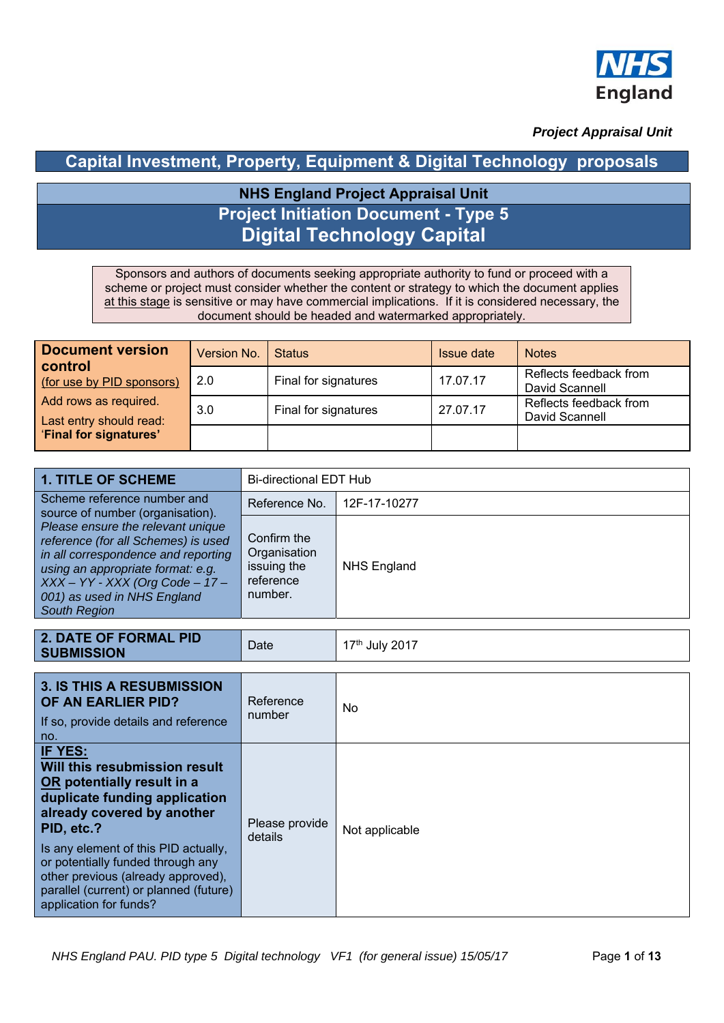

 *Project Appraisal Unit*

## **Capital Investment, Property, Equipment & Digital Technology proposals**

# **NHS England Project Appraisal Unit Project Initiation Document - Type 5 Digital Technology Capital**

Sponsors and authors of documents seeking appropriate authority to fund or proceed with a scheme or project must consider whether the content or strategy to which the document applies at this stage is sensitive or may have commercial implications. If it is considered necessary, the document should be headed and watermarked appropriately.

| <b>Document version</b><br><b>control</b><br>(for use by PID sponsors)<br>Add rows as required.<br>Last entry should read: | Version No. | <b>Status</b>        | Issue date | <b>Notes</b>                             |
|----------------------------------------------------------------------------------------------------------------------------|-------------|----------------------|------------|------------------------------------------|
|                                                                                                                            | 2.0         | Final for signatures | 17.07.17   | Reflects feedback from<br>David Scannell |
|                                                                                                                            | 3.0         | Final for signatures | 27.07.17   | Reflects feedback from<br>David Scannell |
| <b>Final for signatures'</b>                                                                                               |             |                      |            |                                          |

| <b>1. TITLE OF SCHEME</b>                                                                                                                                                                                                                       | <b>Bi-directional EDT Hub</b>                                      |                    |  |  |  |
|-------------------------------------------------------------------------------------------------------------------------------------------------------------------------------------------------------------------------------------------------|--------------------------------------------------------------------|--------------------|--|--|--|
| Scheme reference number and<br>source of number (organisation).                                                                                                                                                                                 | Reference No.                                                      | 12F-17-10277       |  |  |  |
| Please ensure the relevant unique<br>reference (for all Schemes) is used<br>in all correspondence and reporting<br>using an appropriate format: e.g.<br>$XXX - YY - XXX (Org Code - 17 -$<br>001) as used in NHS England<br><b>South Region</b> | Confirm the<br>Organisation<br>issuing the<br>reference<br>number. | <b>NHS England</b> |  |  |  |

| <b>2. DATE OF FORMAL PID</b><br><b>SUBMISSION</b>                                                                                                                                                                                                                                                                                          | Date                      | 17th July 2017 |
|--------------------------------------------------------------------------------------------------------------------------------------------------------------------------------------------------------------------------------------------------------------------------------------------------------------------------------------------|---------------------------|----------------|
|                                                                                                                                                                                                                                                                                                                                            |                           |                |
| 3. IS THIS A RESUBMISSION<br>OF AN EARLIER PID?<br>If so, provide details and reference<br>no.                                                                                                                                                                                                                                             | Reference<br>number       | No             |
| IF YES:<br>Will this resubmission result<br>OR potentially result in a<br>duplicate funding application<br>already covered by another<br>PID, etc.?<br>Is any element of this PID actually,<br>or potentially funded through any<br>other previous (already approved),<br>parallel (current) or planned (future)<br>application for funds? | Please provide<br>details | Not applicable |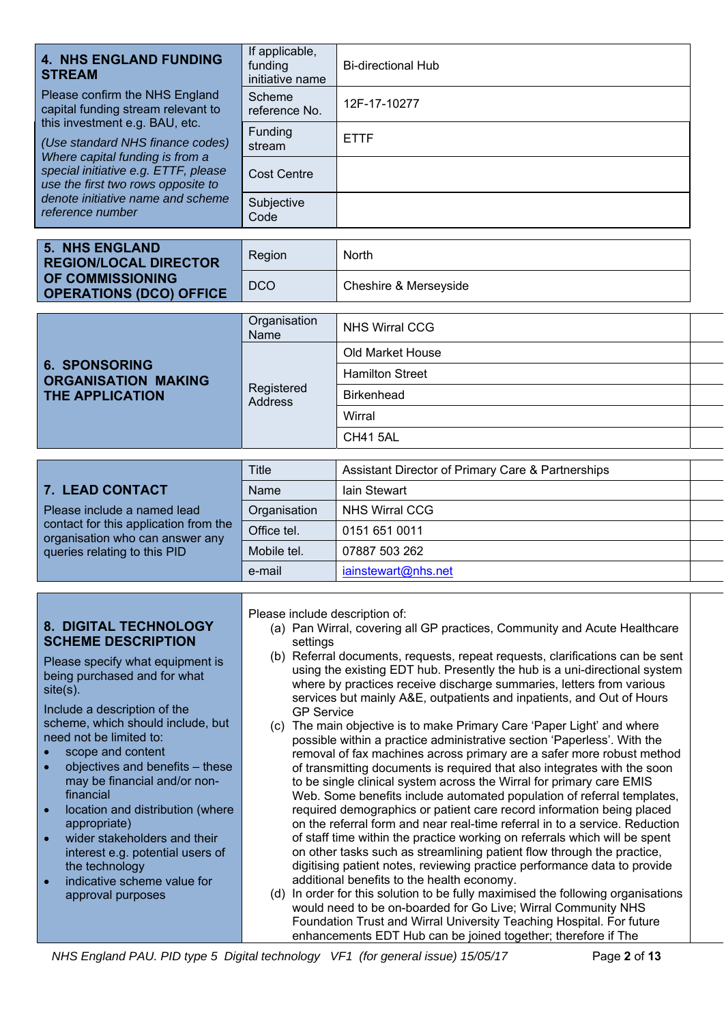| <b>4. NHS ENGLAND FUNDING</b><br><b>STREAM</b>                                                                                                                                                                                                                                                                                                                                                                                                                                                                                                                                                      | If applicable,<br>funding<br>initiative name                    | <b>Bi-directional Hub</b>                                                                                                                                                                                                                                                                                                                                                                                                                                                                                                                                                                                                                                                                                                                                                                                                                                                                                                                                                                                                                                                                                                                                                                                                                                                                                                                                                                                                                           |  |  |
|-----------------------------------------------------------------------------------------------------------------------------------------------------------------------------------------------------------------------------------------------------------------------------------------------------------------------------------------------------------------------------------------------------------------------------------------------------------------------------------------------------------------------------------------------------------------------------------------------------|-----------------------------------------------------------------|-----------------------------------------------------------------------------------------------------------------------------------------------------------------------------------------------------------------------------------------------------------------------------------------------------------------------------------------------------------------------------------------------------------------------------------------------------------------------------------------------------------------------------------------------------------------------------------------------------------------------------------------------------------------------------------------------------------------------------------------------------------------------------------------------------------------------------------------------------------------------------------------------------------------------------------------------------------------------------------------------------------------------------------------------------------------------------------------------------------------------------------------------------------------------------------------------------------------------------------------------------------------------------------------------------------------------------------------------------------------------------------------------------------------------------------------------------|--|--|
| Please confirm the NHS England<br>capital funding stream relevant to                                                                                                                                                                                                                                                                                                                                                                                                                                                                                                                                | Scheme<br>reference No.                                         | 12F-17-10277                                                                                                                                                                                                                                                                                                                                                                                                                                                                                                                                                                                                                                                                                                                                                                                                                                                                                                                                                                                                                                                                                                                                                                                                                                                                                                                                                                                                                                        |  |  |
| this investment e.g. BAU, etc.<br>(Use standard NHS finance codes)                                                                                                                                                                                                                                                                                                                                                                                                                                                                                                                                  | Funding<br>stream                                               | <b>ETTF</b>                                                                                                                                                                                                                                                                                                                                                                                                                                                                                                                                                                                                                                                                                                                                                                                                                                                                                                                                                                                                                                                                                                                                                                                                                                                                                                                                                                                                                                         |  |  |
| Where capital funding is from a<br>special initiative e.g. ETTF, please<br>use the first two rows opposite to                                                                                                                                                                                                                                                                                                                                                                                                                                                                                       | <b>Cost Centre</b>                                              |                                                                                                                                                                                                                                                                                                                                                                                                                                                                                                                                                                                                                                                                                                                                                                                                                                                                                                                                                                                                                                                                                                                                                                                                                                                                                                                                                                                                                                                     |  |  |
| denote initiative name and scheme<br>reference number                                                                                                                                                                                                                                                                                                                                                                                                                                                                                                                                               | Subjective<br>Code                                              |                                                                                                                                                                                                                                                                                                                                                                                                                                                                                                                                                                                                                                                                                                                                                                                                                                                                                                                                                                                                                                                                                                                                                                                                                                                                                                                                                                                                                                                     |  |  |
| <b>5. NHS ENGLAND</b><br><b>REGION/LOCAL DIRECTOR</b>                                                                                                                                                                                                                                                                                                                                                                                                                                                                                                                                               | Region                                                          | North                                                                                                                                                                                                                                                                                                                                                                                                                                                                                                                                                                                                                                                                                                                                                                                                                                                                                                                                                                                                                                                                                                                                                                                                                                                                                                                                                                                                                                               |  |  |
| OF COMMISSIONING<br><b>OPERATIONS (DCO) OFFICE</b>                                                                                                                                                                                                                                                                                                                                                                                                                                                                                                                                                  | <b>DCO</b>                                                      | Cheshire & Merseyside                                                                                                                                                                                                                                                                                                                                                                                                                                                                                                                                                                                                                                                                                                                                                                                                                                                                                                                                                                                                                                                                                                                                                                                                                                                                                                                                                                                                                               |  |  |
|                                                                                                                                                                                                                                                                                                                                                                                                                                                                                                                                                                                                     | Organisation<br>Name                                            | <b>NHS Wirral CCG</b>                                                                                                                                                                                                                                                                                                                                                                                                                                                                                                                                                                                                                                                                                                                                                                                                                                                                                                                                                                                                                                                                                                                                                                                                                                                                                                                                                                                                                               |  |  |
|                                                                                                                                                                                                                                                                                                                                                                                                                                                                                                                                                                                                     |                                                                 | <b>Old Market House</b>                                                                                                                                                                                                                                                                                                                                                                                                                                                                                                                                                                                                                                                                                                                                                                                                                                                                                                                                                                                                                                                                                                                                                                                                                                                                                                                                                                                                                             |  |  |
| <b>6. SPONSORING</b>                                                                                                                                                                                                                                                                                                                                                                                                                                                                                                                                                                                |                                                                 | <b>Hamilton Street</b>                                                                                                                                                                                                                                                                                                                                                                                                                                                                                                                                                                                                                                                                                                                                                                                                                                                                                                                                                                                                                                                                                                                                                                                                                                                                                                                                                                                                                              |  |  |
| <b>ORGANISATION MAKING</b><br><b>THE APPLICATION</b>                                                                                                                                                                                                                                                                                                                                                                                                                                                                                                                                                | Registered                                                      | <b>Birkenhead</b>                                                                                                                                                                                                                                                                                                                                                                                                                                                                                                                                                                                                                                                                                                                                                                                                                                                                                                                                                                                                                                                                                                                                                                                                                                                                                                                                                                                                                                   |  |  |
|                                                                                                                                                                                                                                                                                                                                                                                                                                                                                                                                                                                                     | <b>Address</b>                                                  | Wirral                                                                                                                                                                                                                                                                                                                                                                                                                                                                                                                                                                                                                                                                                                                                                                                                                                                                                                                                                                                                                                                                                                                                                                                                                                                                                                                                                                                                                                              |  |  |
|                                                                                                                                                                                                                                                                                                                                                                                                                                                                                                                                                                                                     |                                                                 | <b>CH41 5AL</b>                                                                                                                                                                                                                                                                                                                                                                                                                                                                                                                                                                                                                                                                                                                                                                                                                                                                                                                                                                                                                                                                                                                                                                                                                                                                                                                                                                                                                                     |  |  |
|                                                                                                                                                                                                                                                                                                                                                                                                                                                                                                                                                                                                     |                                                                 |                                                                                                                                                                                                                                                                                                                                                                                                                                                                                                                                                                                                                                                                                                                                                                                                                                                                                                                                                                                                                                                                                                                                                                                                                                                                                                                                                                                                                                                     |  |  |
|                                                                                                                                                                                                                                                                                                                                                                                                                                                                                                                                                                                                     | <b>Title</b>                                                    | Assistant Director of Primary Care & Partnerships                                                                                                                                                                                                                                                                                                                                                                                                                                                                                                                                                                                                                                                                                                                                                                                                                                                                                                                                                                                                                                                                                                                                                                                                                                                                                                                                                                                                   |  |  |
| 7. LEAD CONTACT                                                                                                                                                                                                                                                                                                                                                                                                                                                                                                                                                                                     | Name                                                            | <b>lain Stewart</b>                                                                                                                                                                                                                                                                                                                                                                                                                                                                                                                                                                                                                                                                                                                                                                                                                                                                                                                                                                                                                                                                                                                                                                                                                                                                                                                                                                                                                                 |  |  |
| Please include a named lead<br>contact for this application from the                                                                                                                                                                                                                                                                                                                                                                                                                                                                                                                                | Organisation                                                    | <b>NHS Wirral CCG</b>                                                                                                                                                                                                                                                                                                                                                                                                                                                                                                                                                                                                                                                                                                                                                                                                                                                                                                                                                                                                                                                                                                                                                                                                                                                                                                                                                                                                                               |  |  |
| organisation who can answer any                                                                                                                                                                                                                                                                                                                                                                                                                                                                                                                                                                     | Office tel.                                                     | 0151 651 0011<br>07887 503 262                                                                                                                                                                                                                                                                                                                                                                                                                                                                                                                                                                                                                                                                                                                                                                                                                                                                                                                                                                                                                                                                                                                                                                                                                                                                                                                                                                                                                      |  |  |
| queries relating to this PID                                                                                                                                                                                                                                                                                                                                                                                                                                                                                                                                                                        | Mobile tel.                                                     | iainstewart@nhs.net                                                                                                                                                                                                                                                                                                                                                                                                                                                                                                                                                                                                                                                                                                                                                                                                                                                                                                                                                                                                                                                                                                                                                                                                                                                                                                                                                                                                                                 |  |  |
|                                                                                                                                                                                                                                                                                                                                                                                                                                                                                                                                                                                                     | e-mail                                                          |                                                                                                                                                                                                                                                                                                                                                                                                                                                                                                                                                                                                                                                                                                                                                                                                                                                                                                                                                                                                                                                                                                                                                                                                                                                                                                                                                                                                                                                     |  |  |
| <b>8. DIGITAL TECHNOLOGY</b><br><b>SCHEME DESCRIPTION</b><br>Please specify what equipment is<br>being purchased and for what<br>$site(s)$ .<br>Include a description of the<br>scheme, which should include, but<br>need not be limited to:<br>scope and content<br>objectives and benefits - these<br>$\bullet$<br>may be financial and/or non-<br>financial<br>location and distribution (where<br>$\bullet$<br>appropriate)<br>wider stakeholders and their<br>$\bullet$<br>interest e.g. potential users of<br>the technology<br>indicative scheme value for<br>$\bullet$<br>approval purposes | Please include description of:<br>settings<br><b>GP Service</b> | (a) Pan Wirral, covering all GP practices, Community and Acute Healthcare<br>(b) Referral documents, requests, repeat requests, clarifications can be sent<br>using the existing EDT hub. Presently the hub is a uni-directional system<br>where by practices receive discharge summaries, letters from various<br>services but mainly A&E, outpatients and inpatients, and Out of Hours<br>(c) The main objective is to make Primary Care 'Paper Light' and where<br>possible within a practice administrative section 'Paperless'. With the<br>removal of fax machines across primary are a safer more robust method<br>of transmitting documents is required that also integrates with the soon<br>to be single clinical system across the Wirral for primary care EMIS<br>Web. Some benefits include automated population of referral templates,<br>required demographics or patient care record information being placed<br>on the referral form and near real-time referral in to a service. Reduction<br>of staff time within the practice working on referrals which will be spent<br>on other tasks such as streamlining patient flow through the practice,<br>digitising patient notes, reviewing practice performance data to provide<br>additional benefits to the health economy.<br>(d) In order for this solution to be fully maximised the following organisations<br>would need to be on-boarded for Go Live; Wirral Community NHS |  |  |
|                                                                                                                                                                                                                                                                                                                                                                                                                                                                                                                                                                                                     |                                                                 | Foundation Trust and Wirral University Teaching Hospital. For future<br>enhancements EDT Hub can be joined together; therefore if The                                                                                                                                                                                                                                                                                                                                                                                                                                                                                                                                                                                                                                                                                                                                                                                                                                                                                                                                                                                                                                                                                                                                                                                                                                                                                                               |  |  |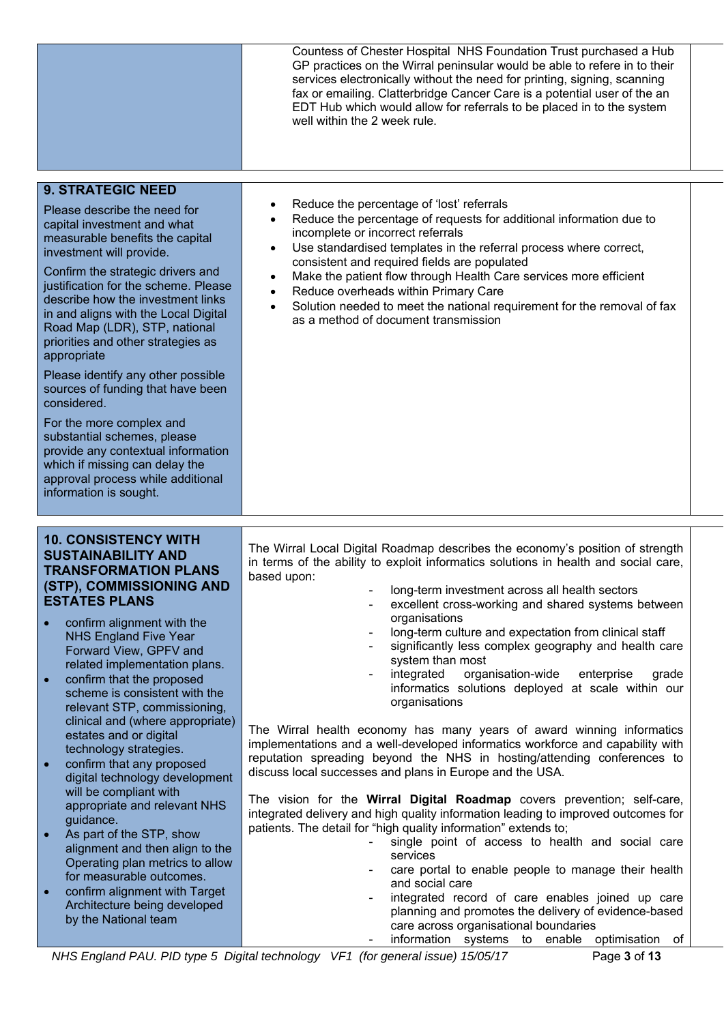|                                                                                                                                                                                                                                                                                                                                                                                                                                                                                                                                                                                                                                                                                                                                                                              | Countess of Chester Hospital NHS Foundation Trust purchased a Hub<br>GP practices on the Wirral peninsular would be able to refere in to their<br>services electronically without the need for printing, signing, scanning<br>fax or emailing. Clatterbridge Cancer Care is a potential user of the an<br>EDT Hub which would allow for referrals to be placed in to the system<br>well within the 2 week rule.                                                                                                                                                                                                                                                                                                                                                                                                                                                                                                                                                                                                                                                                                                                                                                                                                                                                                                                                |  |
|------------------------------------------------------------------------------------------------------------------------------------------------------------------------------------------------------------------------------------------------------------------------------------------------------------------------------------------------------------------------------------------------------------------------------------------------------------------------------------------------------------------------------------------------------------------------------------------------------------------------------------------------------------------------------------------------------------------------------------------------------------------------------|------------------------------------------------------------------------------------------------------------------------------------------------------------------------------------------------------------------------------------------------------------------------------------------------------------------------------------------------------------------------------------------------------------------------------------------------------------------------------------------------------------------------------------------------------------------------------------------------------------------------------------------------------------------------------------------------------------------------------------------------------------------------------------------------------------------------------------------------------------------------------------------------------------------------------------------------------------------------------------------------------------------------------------------------------------------------------------------------------------------------------------------------------------------------------------------------------------------------------------------------------------------------------------------------------------------------------------------------|--|
| <b>9. STRATEGIC NEED</b><br>Please describe the need for<br>capital investment and what<br>measurable benefits the capital<br>investment will provide.<br>Confirm the strategic drivers and<br>justification for the scheme. Please<br>describe how the investment links<br>in and aligns with the Local Digital<br>Road Map (LDR), STP, national<br>priorities and other strategies as<br>appropriate<br>Please identify any other possible<br>sources of funding that have been<br>considered.<br>For the more complex and<br>substantial schemes, please<br>provide any contextual information<br>which if missing can delay the<br>approval process while additional<br>information is sought.                                                                           | Reduce the percentage of 'lost' referrals<br>Reduce the percentage of requests for additional information due to<br>incomplete or incorrect referrals<br>Use standardised templates in the referral process where correct,<br>$\bullet$<br>consistent and required fields are populated<br>Make the patient flow through Health Care services more efficient<br>$\bullet$<br>Reduce overheads within Primary Care<br>$\bullet$<br>Solution needed to meet the national requirement for the removal of fax<br>as a method of document transmission                                                                                                                                                                                                                                                                                                                                                                                                                                                                                                                                                                                                                                                                                                                                                                                              |  |
| <b>10. CONSISTENCY WITH</b><br><b>SUSTAINABILITY AND</b><br><b>TRANSFORMATION PLANS</b><br>(STP), COMMISSIONING AND<br><b>ESTATES PLANS</b><br>confirm alignment with the<br><b>NHS England Five Year</b><br>Forward View, GPFV and<br>related implementation plans.<br>confirm that the proposed<br>$\bullet$<br>scheme is consistent with the<br>relevant STP, commissioning,<br>clinical and (where appropriate)<br>estates and or digital<br>technology strategies.<br>confirm that any proposed<br>digital technology development<br>will be compliant with<br>appropriate and relevant NHS<br>guidance.<br>As part of the STP, show<br>alignment and then align to the<br>Operating plan metrics to allow<br>for measurable outcomes.<br>confirm alignment with Target | The Wirral Local Digital Roadmap describes the economy's position of strength<br>in terms of the ability to exploit informatics solutions in health and social care,<br>based upon:<br>long-term investment across all health sectors<br>excellent cross-working and shared systems between<br>organisations<br>long-term culture and expectation from clinical staff<br>significantly less complex geography and health care<br>system than most<br>organisation-wide<br>integrated<br>enterprise<br>grade<br>informatics solutions deployed at scale within our<br>organisations<br>The Wirral health economy has many years of award winning informatics<br>implementations and a well-developed informatics workforce and capability with<br>reputation spreading beyond the NHS in hosting/attending conferences to<br>discuss local successes and plans in Europe and the USA.<br>The vision for the <b>Wirral Digital Roadmap</b> covers prevention; self-care,<br>integrated delivery and high quality information leading to improved outcomes for<br>patients. The detail for "high quality information" extends to;<br>single point of access to health and social care<br>services<br>care portal to enable people to manage their health<br>and social care<br>integrated record of care enables joined up care<br>$\blacksquare$ |  |
| Architecture being developed<br>by the National team                                                                                                                                                                                                                                                                                                                                                                                                                                                                                                                                                                                                                                                                                                                         | planning and promotes the delivery of evidence-based<br>care across organisational boundaries<br>information systems to enable<br>of<br>optimisation<br>NHS England PAU. PID type 5 Digital technology VF1 (for general issue) 15/05/17<br>Page 3 of 13                                                                                                                                                                                                                                                                                                                                                                                                                                                                                                                                                                                                                                                                                                                                                                                                                                                                                                                                                                                                                                                                                        |  |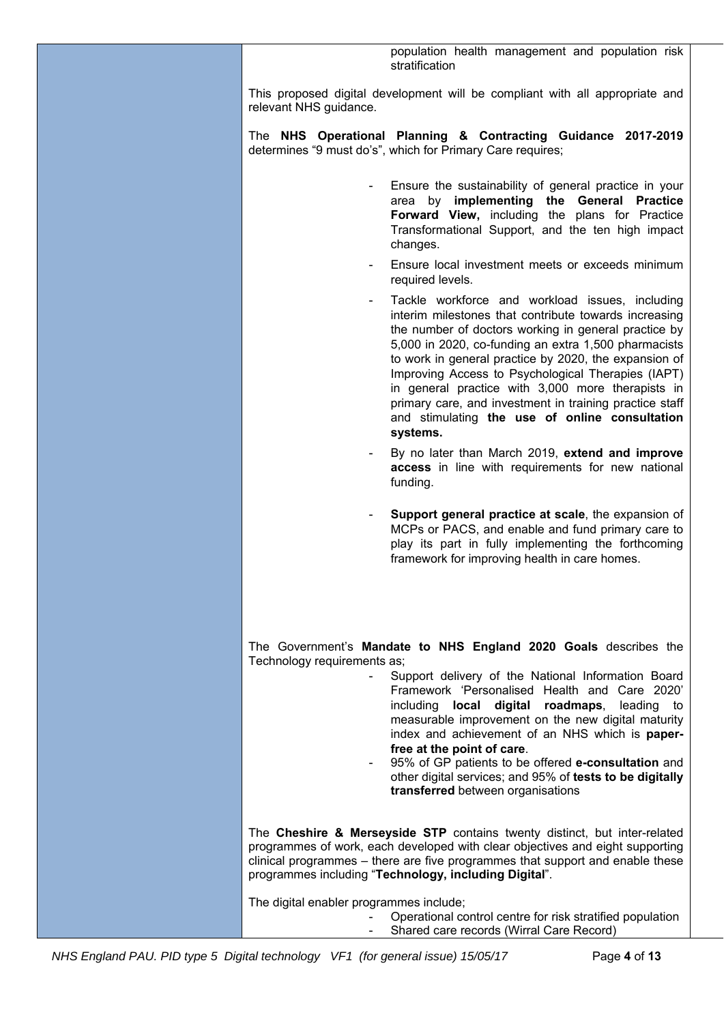| population health management and population risk<br>stratification                                                                                                                                                                                                                                                                                                                                                                                                                                                                                                 |
|--------------------------------------------------------------------------------------------------------------------------------------------------------------------------------------------------------------------------------------------------------------------------------------------------------------------------------------------------------------------------------------------------------------------------------------------------------------------------------------------------------------------------------------------------------------------|
| This proposed digital development will be compliant with all appropriate and<br>relevant NHS guidance.                                                                                                                                                                                                                                                                                                                                                                                                                                                             |
| The NHS Operational Planning & Contracting Guidance 2017-2019<br>determines "9 must do's", which for Primary Care requires;                                                                                                                                                                                                                                                                                                                                                                                                                                        |
| Ensure the sustainability of general practice in your<br>$\blacksquare$<br>area by implementing the General Practice<br>Forward View, including the plans for Practice<br>Transformational Support, and the ten high impact<br>changes.                                                                                                                                                                                                                                                                                                                            |
| Ensure local investment meets or exceeds minimum<br>required levels.                                                                                                                                                                                                                                                                                                                                                                                                                                                                                               |
| Tackle workforce and workload issues, including<br>interim milestones that contribute towards increasing<br>the number of doctors working in general practice by<br>5,000 in 2020, co-funding an extra 1,500 pharmacists<br>to work in general practice by 2020, the expansion of<br>Improving Access to Psychological Therapies (IAPT)<br>in general practice with 3,000 more therapists in<br>primary care, and investment in training practice staff<br>and stimulating the use of online consultation<br>systems.                                              |
| By no later than March 2019, extend and improve<br>access in line with requirements for new national<br>funding.                                                                                                                                                                                                                                                                                                                                                                                                                                                   |
| Support general practice at scale, the expansion of<br>$\blacksquare$<br>MCPs or PACS, and enable and fund primary care to<br>play its part in fully implementing the forthcoming<br>framework for improving health in care homes.                                                                                                                                                                                                                                                                                                                                 |
| The Government's Mandate to NHS England 2020 Goals describes the<br>Technology requirements as;<br>Support delivery of the National Information Board<br>Framework 'Personalised Health and Care 2020'<br>including <b>local digital</b><br>roadmaps,<br>leading to<br>measurable improvement on the new digital maturity<br>index and achievement of an NHS which is paper-<br>free at the point of care.<br>95% of GP patients to be offered e-consultation and<br>other digital services; and 95% of tests to be digitally<br>transferred between organisations |
| The Cheshire & Merseyside STP contains twenty distinct, but inter-related<br>programmes of work, each developed with clear objectives and eight supporting<br>clinical programmes – there are five programmes that support and enable these<br>programmes including "Technology, including Digital".                                                                                                                                                                                                                                                               |
| The digital enabler programmes include;<br>Operational control centre for risk stratified population<br>Shared care records (Wirral Care Record)                                                                                                                                                                                                                                                                                                                                                                                                                   |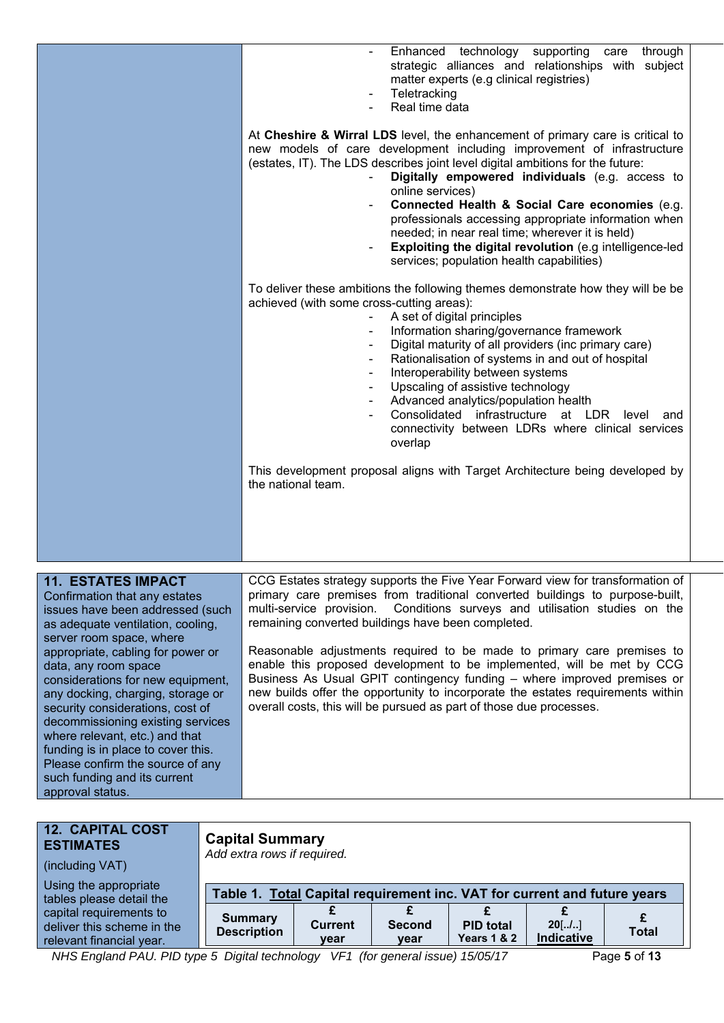|                                                                                                                                                                                                           | Enhanced technology supporting care<br>through<br>strategic alliances and relationships with subject<br>matter experts (e.g clinical registries)<br>Teletracking<br>Real time data                                                                                                                                                                                                                                                                                                                                                                                                     |
|-----------------------------------------------------------------------------------------------------------------------------------------------------------------------------------------------------------|----------------------------------------------------------------------------------------------------------------------------------------------------------------------------------------------------------------------------------------------------------------------------------------------------------------------------------------------------------------------------------------------------------------------------------------------------------------------------------------------------------------------------------------------------------------------------------------|
|                                                                                                                                                                                                           | At Cheshire & Wirral LDS level, the enhancement of primary care is critical to<br>new models of care development including improvement of infrastructure<br>(estates, IT). The LDS describes joint level digital ambitions for the future:<br>Digitally empowered individuals (e.g. access to<br>online services)<br>Connected Health & Social Care economies (e.g.<br>professionals accessing appropriate information when<br>needed; in near real time; wherever it is held)<br>Exploiting the digital revolution (e.g intelligence-led<br>services; population health capabilities) |
|                                                                                                                                                                                                           | To deliver these ambitions the following themes demonstrate how they will be be<br>achieved (with some cross-cutting areas):<br>A set of digital principles<br>Information sharing/governance framework<br>Digital maturity of all providers (inc primary care)<br>Rationalisation of systems in and out of hospital<br>Interoperability between systems<br>Upscaling of assistive technology<br>Advanced analytics/population health<br>Consolidated infrastructure at LDR<br>level<br>and<br>connectivity between LDRs where clinical services<br>overlap                            |
|                                                                                                                                                                                                           | This development proposal aligns with Target Architecture being developed by<br>the national team.                                                                                                                                                                                                                                                                                                                                                                                                                                                                                     |
| <b>11. ESTATES IMPACT</b><br>Confirmation that any estates<br>issues have been addressed (such<br>as adequate ventilation, cooling,<br>server room space, where<br>appropriate, cabling for power or      | CCG Estates strategy supports the Five Year Forward view for transformation of<br>primary care premises from traditional converted buildings to purpose-built,<br>Conditions surveys and utilisation studies on the<br>multi-service provision.<br>remaining converted buildings have been completed.<br>Reasonable adjustments required to be made to primary care premises to                                                                                                                                                                                                        |
| data, any room space<br>considerations for new equipment,<br>any docking, charging, storage or<br>security considerations, cost of<br>decommissioning existing services<br>where relevant, etc.) and that | enable this proposed development to be implemented, will be met by CCG<br>Business As Usual GPIT contingency funding - where improved premises or<br>new builds offer the opportunity to incorporate the estates requirements within<br>overall costs, this will be pursued as part of those due processes.                                                                                                                                                                                                                                                                            |

| <b>12. CAPITAL COST</b><br><b>ESTIMATES</b><br>(including VAT)                    | <b>Capital Summary</b><br>Add extra rows if required.                    |                        |                       |                                            |                        |              |
|-----------------------------------------------------------------------------------|--------------------------------------------------------------------------|------------------------|-----------------------|--------------------------------------------|------------------------|--------------|
| Using the appropriate<br>tables please detail the                                 | Table 1. Total Capital requirement inc. VAT for current and future years |                        |                       |                                            |                        |              |
| capital requirements to<br>deliver this scheme in the<br>relevant financial year. | <b>Summary</b><br><b>Description</b>                                     | <b>Current</b><br>year | <b>Second</b><br>year | <b>PID total</b><br><b>Years 1 &amp; 2</b> | $20$ [/]<br>Indicative | <b>Total</b> |

*NHS England PAU. PID type 5 Digital technology VF1 (for general issue) 15/05/17* Page **5** of **13**

funding is in place to cover this. Please confirm the source of any such funding and its current

approval status.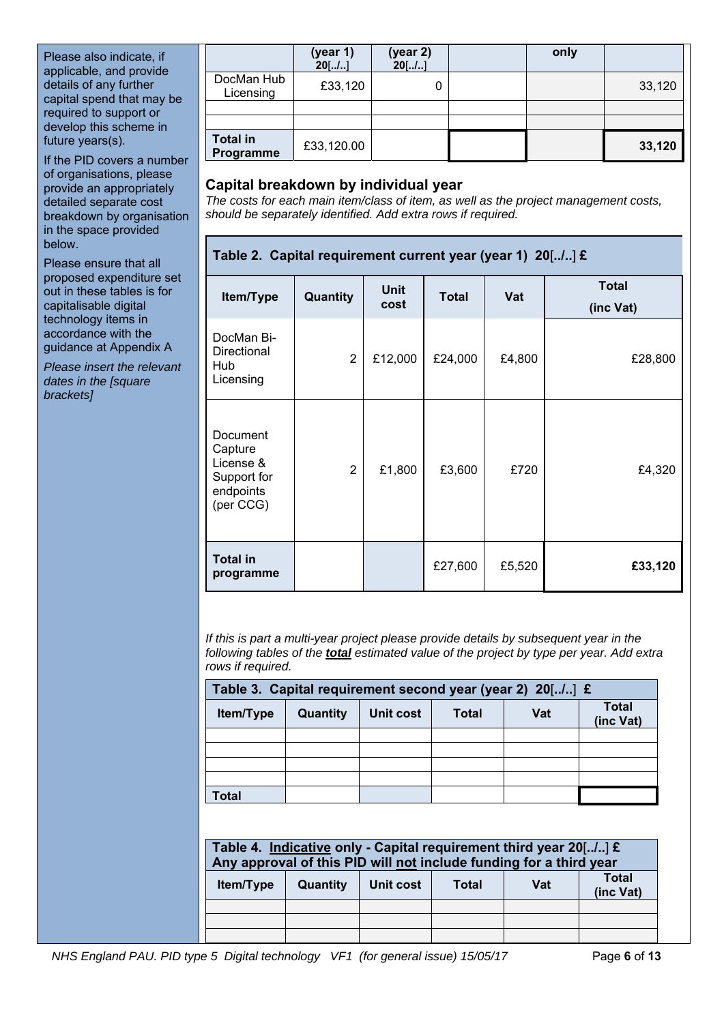Please also indicate, if applicable, and provide details of any further capital spend that may be required to support or develop this scheme in future years(s).

If the PID covers a number of organisations, please provide an appropriately detailed separate cost breakdown by organisation in the space provided below.

Please ensure that all proposed expenditure set out in these tables is for capitalisable digital technology items in accordance with the guidance at Appendix A

*Please insert the relevant dates in the [square brackets]* 

|                              | (year 1)<br>$20$ [/] | (year 2)<br>$20$ [/] | only |        |
|------------------------------|----------------------|----------------------|------|--------|
| DocMan Hub<br>Licensing      | £33,120              | 0                    |      | 33,120 |
|                              |                      |                      |      |        |
|                              |                      |                      |      |        |
| <b>Total in</b><br>Programme | £33,120.00           |                      |      | 33,120 |

## **Capital breakdown by individual year**

*The costs for each main item/class of item, as well as the project management costs, should be separately identified. Add extra rows if required.* 

## **Table 2. Capital requirement current year (year 1) 20**[**../..**] **£**

| Item/Type                                                                 | Quantity       | <b>Unit</b><br>cost | <b>Total</b> | Vat    | <b>Total</b><br>(inc Vat) |
|---------------------------------------------------------------------------|----------------|---------------------|--------------|--------|---------------------------|
| DocMan Bi-<br>Directional<br>Hub<br>Licensing                             | $\overline{2}$ | £12,000             | £24,000      | £4,800 | £28,800                   |
| Document<br>Capture<br>License &<br>Support for<br>endpoints<br>(per CCG) | $\overline{2}$ | £1,800              | £3,600       | £720   | £4,320                    |
| <b>Total in</b><br>programme                                              |                |                     | £27,600      | £5,520 | £33,120                   |

*If this is part a multi-year project please provide details by subsequent year in the following tables of the total estimated value of the project by type per year. Add extra rows if required.* 

| Table 3. Capital requirement second year (year 2) 20[/] £ |          |           |              |     |                           |  |  |
|-----------------------------------------------------------|----------|-----------|--------------|-----|---------------------------|--|--|
| Item/Type                                                 | Quantity | Unit cost | <b>Total</b> | Vat | <b>Total</b><br>(inc Vat) |  |  |
|                                                           |          |           |              |     |                           |  |  |
|                                                           |          |           |              |     |                           |  |  |
|                                                           |          |           |              |     |                           |  |  |
|                                                           |          |           |              |     |                           |  |  |
| Total                                                     |          |           |              |     |                           |  |  |

| Table 4. Indicative only - Capital requirement third year 20[] £<br>Any approval of this PID will not include funding for a third year |                                                                                  |  |  |  |  |  |  |
|----------------------------------------------------------------------------------------------------------------------------------------|----------------------------------------------------------------------------------|--|--|--|--|--|--|
| <b>Item/Type</b>                                                                                                                       | <b>Total</b><br>Vat<br><b>Quantity</b><br>Unit cost<br><b>Total</b><br>(inc Vat) |  |  |  |  |  |  |
|                                                                                                                                        |                                                                                  |  |  |  |  |  |  |
|                                                                                                                                        |                                                                                  |  |  |  |  |  |  |
|                                                                                                                                        |                                                                                  |  |  |  |  |  |  |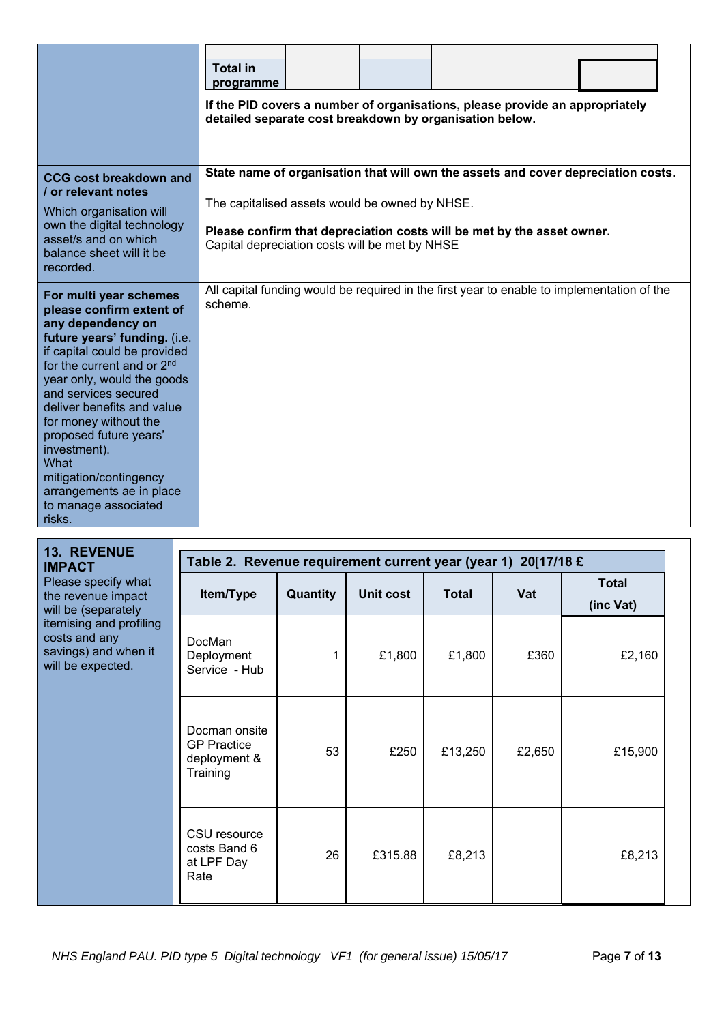|                                                                                                                                                                                                                                                                                                                                                                                                                                          | <b>Total in</b><br>programme<br>If the PID covers a number of organisations, please provide an appropriately<br>detailed separate cost breakdown by organisation below. |  |  |  |  |                                                                                            |  |
|------------------------------------------------------------------------------------------------------------------------------------------------------------------------------------------------------------------------------------------------------------------------------------------------------------------------------------------------------------------------------------------------------------------------------------------|-------------------------------------------------------------------------------------------------------------------------------------------------------------------------|--|--|--|--|--------------------------------------------------------------------------------------------|--|
| CCG cost breakdown and<br>/ or relevant notes<br>Which organisation will<br>own the digital technology                                                                                                                                                                                                                                                                                                                                   | State name of organisation that will own the assets and cover depreciation costs.<br>The capitalised assets would be owned by NHSE.                                     |  |  |  |  |                                                                                            |  |
| asset/s and on which<br>balance sheet will it be<br>recorded.                                                                                                                                                                                                                                                                                                                                                                            | Please confirm that depreciation costs will be met by the asset owner.<br>Capital depreciation costs will be met by NHSE                                                |  |  |  |  |                                                                                            |  |
| For multi year schemes<br>please confirm extent of<br>any dependency on<br>future years' funding. (i.e.<br>if capital could be provided<br>for the current and or 2 <sup>nd</sup><br>year only, would the goods<br>and services secured<br>deliver benefits and value<br>for money without the<br>proposed future years'<br>investment).<br>What<br>mitigation/contingency<br>arrangements ae in place<br>to manage associated<br>risks. | scheme.                                                                                                                                                                 |  |  |  |  | All capital funding would be required in the first year to enable to implementation of the |  |

| <b>13. REVENUE</b><br><b>IMPACT</b>                                                                                                                       | Table 2. Revenue requirement current year (year 1) 20[17/18 £   |          |           |              |        |                           |  |  |
|-----------------------------------------------------------------------------------------------------------------------------------------------------------|-----------------------------------------------------------------|----------|-----------|--------------|--------|---------------------------|--|--|
| Please specify what<br>the revenue impact<br>will be (separately<br>itemising and profiling<br>costs and any<br>savings) and when it<br>will be expected. | Item/Type                                                       | Quantity | Unit cost | <b>Total</b> | Vat    | <b>Total</b><br>(inc Vat) |  |  |
|                                                                                                                                                           | DocMan<br>Deployment<br>Service - Hub                           |          | £1,800    | £1,800       | £360   | £2,160                    |  |  |
|                                                                                                                                                           | Docman onsite<br><b>GP Practice</b><br>deployment &<br>Training | 53       | £250      | £13,250      | £2,650 | £15,900                   |  |  |
|                                                                                                                                                           | CSU resource<br>costs Band 6<br>at LPF Day<br>Rate              | 26       | £315.88   | £8,213       |        | £8,213                    |  |  |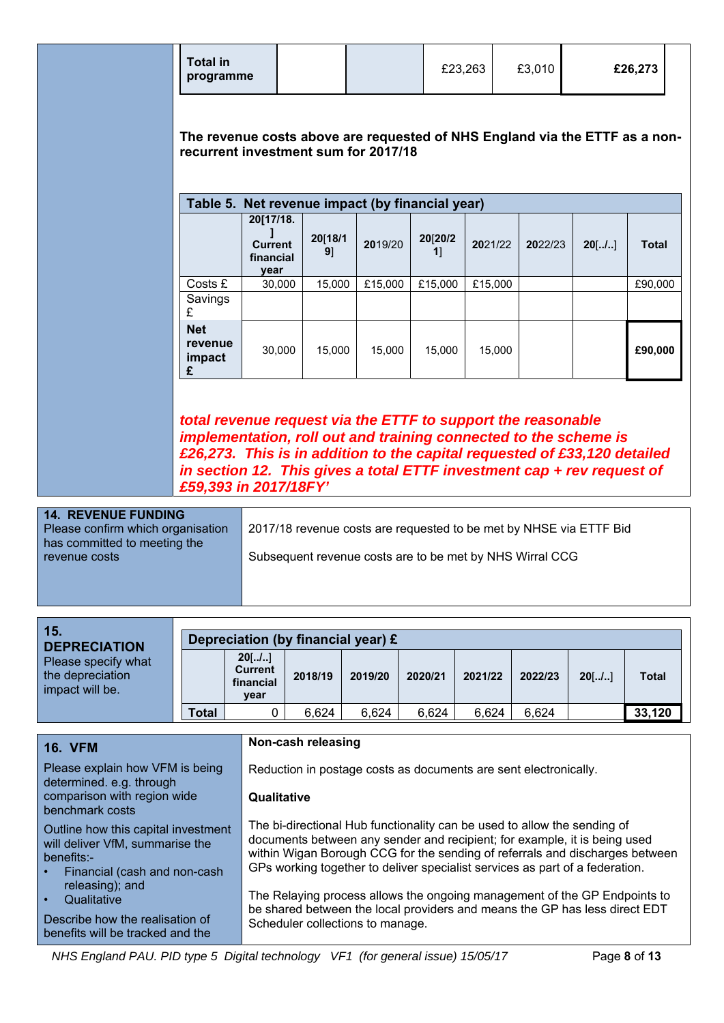**The revenue costs above are requested of NHS England via the ETTF as a nonrecurrent investment sum for 2017/18** 

| Table 5. Net revenue impact (by financial year) |                                                  |               |         |              |         |         |          |              |
|-------------------------------------------------|--------------------------------------------------|---------------|---------|--------------|---------|---------|----------|--------------|
|                                                 | 20[17/18.<br><b>Current</b><br>financial<br>year | 20[18/1<br>9] | 2019/20 | 20[20/2<br>1 | 2021/22 | 2022/23 | $20$ [/] | <b>Total</b> |
| Costs £                                         | 30,000                                           | 15,000        | £15,000 | £15,000      | £15,000 |         |          | £90,000      |
| Savings<br>£                                    |                                                  |               |         |              |         |         |          |              |
| <b>Net</b><br>revenue<br>impact<br>£            | 30,000                                           | 15.000        | 15,000  | 15,000       | 15.000  |         |          | £90,000      |

*total revenue request via the ETTF to support the reasonable implementation, roll out and training connected to the scheme is £26,273. This is in addition to the capital requested of £33,120 detailed in section 12. This gives a total ETTF investment cap + rev request of £59,393 in 2017/18FY'*

**14. REVENUE FUNDING**  Please confirm which organisation has committed to meeting the revenue costs 2017/18 revenue costs are requested to be met by NHSE via ETTF Bid Subsequent revenue costs are to be met by NHS Wirral CCG

| 15.<br><b>DEPRECIATION</b>                                 | Depreciation (by financial year) £ |                                                 |         |         |         |         |         |          |              |
|------------------------------------------------------------|------------------------------------|-------------------------------------------------|---------|---------|---------|---------|---------|----------|--------------|
| Please specify what<br>the depreciation<br>impact will be. |                                    | $20$ [/]<br><b>Current</b><br>financial<br>year | 2018/19 | 2019/20 | 2020/21 | 2021/22 | 2022/23 | $20$ [/] | <b>Total</b> |
|                                                            | <b>Total</b>                       |                                                 | 6,624   | 6,624   | 6,624   | 6,624   | 6,624   |          | 33,120       |

| <b>16. VFM</b>                                                                                                                    | Non-cash releasing                                                                                                                                                                                                                                                                                                    |
|-----------------------------------------------------------------------------------------------------------------------------------|-----------------------------------------------------------------------------------------------------------------------------------------------------------------------------------------------------------------------------------------------------------------------------------------------------------------------|
| Please explain how VFM is being<br>determined. e.g. through                                                                       | Reduction in postage costs as documents are sent electronically.                                                                                                                                                                                                                                                      |
| comparison with region wide<br>benchmark costs                                                                                    | Qualitative                                                                                                                                                                                                                                                                                                           |
| Outline how this capital investment<br>will deliver VfM, summarise the<br>benefits:-<br>Financial (cash and non-cash<br>$\bullet$ | The bi-directional Hub functionality can be used to allow the sending of<br>documents between any sender and recipient; for example, it is being used<br>within Wigan Borough CCG for the sending of referrals and discharges between<br>GPs working together to deliver specialist services as part of a federation. |
| releasing); and<br>Qualitative<br>$\bullet$<br>Describe how the realisation of<br>benefits will be tracked and the                | The Relaying process allows the ongoing management of the GP Endpoints to<br>be shared between the local providers and means the GP has less direct EDT<br>Scheduler collections to manage.                                                                                                                           |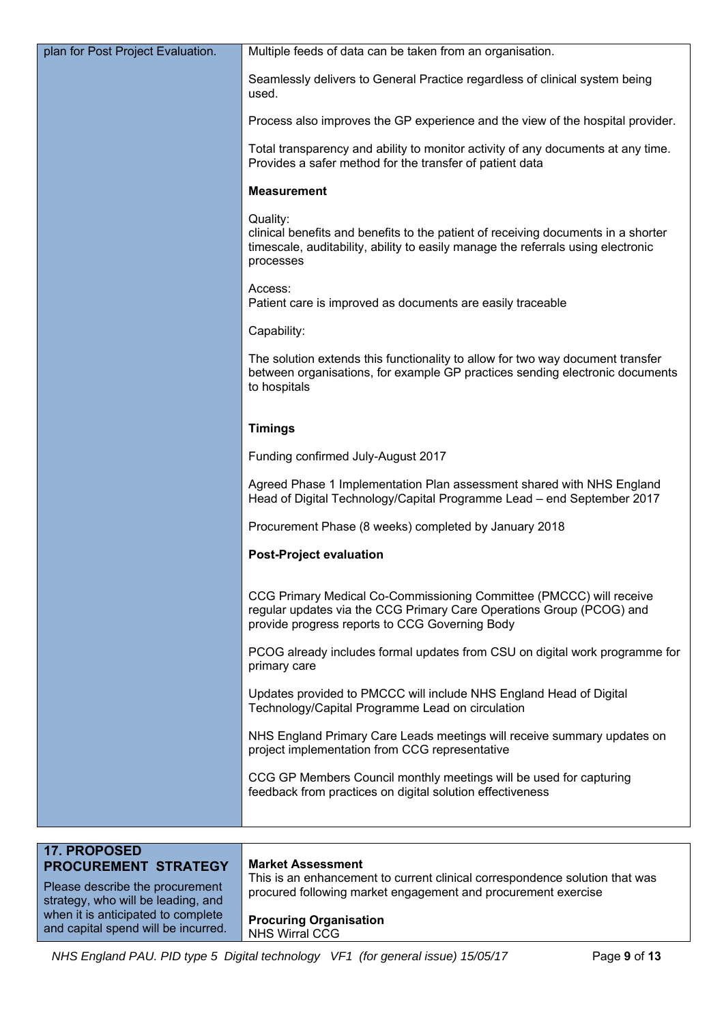| plan for Post Project Evaluation.                                                             | Multiple feeds of data can be taken from an organisation.                                                                                                                                      |  |  |  |
|-----------------------------------------------------------------------------------------------|------------------------------------------------------------------------------------------------------------------------------------------------------------------------------------------------|--|--|--|
|                                                                                               | Seamlessly delivers to General Practice regardless of clinical system being<br>used.                                                                                                           |  |  |  |
|                                                                                               | Process also improves the GP experience and the view of the hospital provider.                                                                                                                 |  |  |  |
|                                                                                               | Total transparency and ability to monitor activity of any documents at any time.<br>Provides a safer method for the transfer of patient data                                                   |  |  |  |
|                                                                                               | <b>Measurement</b>                                                                                                                                                                             |  |  |  |
|                                                                                               | Quality:<br>clinical benefits and benefits to the patient of receiving documents in a shorter<br>timescale, auditability, ability to easily manage the referrals using electronic<br>processes |  |  |  |
|                                                                                               | Access:<br>Patient care is improved as documents are easily traceable                                                                                                                          |  |  |  |
|                                                                                               | Capability:                                                                                                                                                                                    |  |  |  |
|                                                                                               | The solution extends this functionality to allow for two way document transfer<br>between organisations, for example GP practices sending electronic documents<br>to hospitals                 |  |  |  |
|                                                                                               | <b>Timings</b>                                                                                                                                                                                 |  |  |  |
|                                                                                               | Funding confirmed July-August 2017                                                                                                                                                             |  |  |  |
|                                                                                               | Agreed Phase 1 Implementation Plan assessment shared with NHS England<br>Head of Digital Technology/Capital Programme Lead - end September 2017                                                |  |  |  |
|                                                                                               | Procurement Phase (8 weeks) completed by January 2018                                                                                                                                          |  |  |  |
|                                                                                               | <b>Post-Project evaluation</b>                                                                                                                                                                 |  |  |  |
|                                                                                               | CCG Primary Medical Co-Commissioning Committee (PMCCC) will receive<br>regular updates via the CCG Primary Care Operations Group (PCOG) and<br>provide progress reports to CCG Governing Body  |  |  |  |
|                                                                                               | PCOG already includes formal updates from CSU on digital work programme for<br>primary care                                                                                                    |  |  |  |
|                                                                                               | Updates provided to PMCCC will include NHS England Head of Digital<br>Technology/Capital Programme Lead on circulation                                                                         |  |  |  |
|                                                                                               | NHS England Primary Care Leads meetings will receive summary updates on<br>project implementation from CCG representative                                                                      |  |  |  |
|                                                                                               | CCG GP Members Council monthly meetings will be used for capturing<br>feedback from practices on digital solution effectiveness                                                                |  |  |  |
|                                                                                               |                                                                                                                                                                                                |  |  |  |
| <b>17. PROPOSED</b>                                                                           |                                                                                                                                                                                                |  |  |  |
| PROCUREMENT STRATEGY<br>Please describe the procurement<br>strategy, who will be leading, and | <b>Market Assessment</b><br>This is an enhancement to current clinical correspondence solution that was<br>procured following market engagement and procurement exercise                       |  |  |  |
| when it is anticipated to complete                                                            | <b>Drocuring Organication</b>                                                                                                                                                                  |  |  |  |

**Procuring Organisation**  NHS Wirral CCG

and capital spend will be incurred.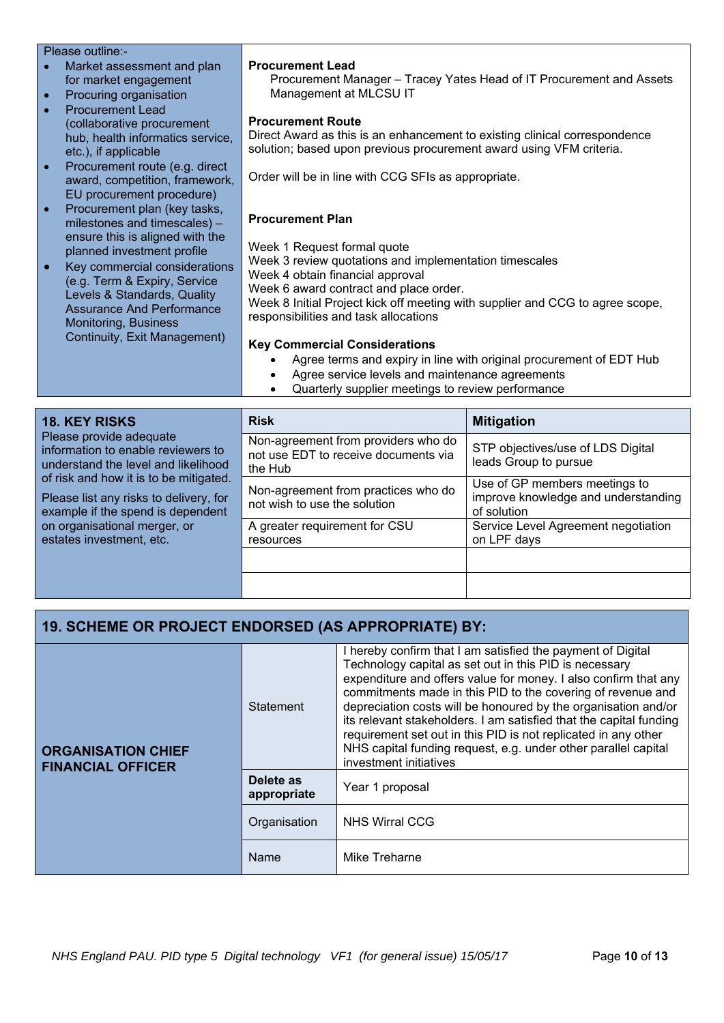| Please outline:-                                                                                                  |                                                                                                                                                                               |
|-------------------------------------------------------------------------------------------------------------------|-------------------------------------------------------------------------------------------------------------------------------------------------------------------------------|
| Market assessment and plan                                                                                        | <b>Procurement Lead</b>                                                                                                                                                       |
| for market engagement                                                                                             | Procurement Manager - Tracey Yates Head of IT Procurement and Assets                                                                                                          |
| Procuring organisation<br>$\bullet$                                                                               | Management at MLCSU IT                                                                                                                                                        |
| <b>Procurement Lead</b><br>(collaborative procurement<br>hub, health informatics service,<br>etc.), if applicable | <b>Procurement Route</b><br>Direct Award as this is an enhancement to existing clinical correspondence<br>solution; based upon previous procurement award using VFM criteria. |
| Procurement route (e.g. direct<br>$\bullet$<br>award, competition, framework,<br>EU procurement procedure)        | Order will be in line with CCG SFIs as appropriate.                                                                                                                           |
| Procurement plan (key tasks,<br>$\bullet$<br>milestones and timescales) -<br>ensure this is aligned with the      | <b>Procurement Plan</b>                                                                                                                                                       |
| planned investment profile                                                                                        | Week 1 Request formal quote                                                                                                                                                   |
| Key commercial considerations                                                                                     | Week 3 review quotations and implementation timescales                                                                                                                        |
| (e.g. Term & Expiry, Service                                                                                      | Week 4 obtain financial approval                                                                                                                                              |
| Levels & Standards, Quality                                                                                       | Week 6 award contract and place order.                                                                                                                                        |
| <b>Assurance And Performance</b>                                                                                  | Week 8 Initial Project kick off meeting with supplier and CCG to agree scope,<br>responsibilities and task allocations                                                        |
| Monitoring, Business                                                                                              |                                                                                                                                                                               |
| Continuity, Exit Management)                                                                                      | <b>Key Commercial Considerations</b>                                                                                                                                          |
|                                                                                                                   | Agree terms and expiry in line with original procurement of EDT Hub                                                                                                           |
|                                                                                                                   | Agree service levels and maintenance agreements<br>$\bullet$                                                                                                                  |
|                                                                                                                   | Quarterly supplier meetings to review performance                                                                                                                             |

| <b>18. KEY RISKS</b><br>Please provide adequate<br>information to enable reviewers to<br>understand the level and likelihood<br>of risk and how it is to be mitigated.<br>Please list any risks to delivery, for<br>example if the spend is dependent<br>on organisational merger, or<br>estates investment, etc. | <b>Risk</b>                                                                            | <b>Mitigation</b>                                                                   |
|-------------------------------------------------------------------------------------------------------------------------------------------------------------------------------------------------------------------------------------------------------------------------------------------------------------------|----------------------------------------------------------------------------------------|-------------------------------------------------------------------------------------|
|                                                                                                                                                                                                                                                                                                                   | Non-agreement from providers who do<br>not use EDT to receive documents via<br>the Hub | STP objectives/use of LDS Digital<br>leads Group to pursue                          |
|                                                                                                                                                                                                                                                                                                                   | Non-agreement from practices who do<br>not wish to use the solution                    | Use of GP members meetings to<br>improve knowledge and understanding<br>of solution |
|                                                                                                                                                                                                                                                                                                                   | A greater requirement for CSU<br>resources                                             | Service Level Agreement negotiation<br>on LPF days                                  |
|                                                                                                                                                                                                                                                                                                                   |                                                                                        |                                                                                     |
|                                                                                                                                                                                                                                                                                                                   |                                                                                        |                                                                                     |

# **19. SCHEME OR PROJECT ENDORSED (AS APPROPRIATE) BY:**

| <b>ORGANISATION CHIEF</b><br><b>FINANCIAL OFFICER</b> | Statement                | I hereby confirm that I am satisfied the payment of Digital<br>Technology capital as set out in this PID is necessary<br>expenditure and offers value for money. I also confirm that any<br>commitments made in this PID to the covering of revenue and<br>depreciation costs will be honoured by the organisation and/or<br>its relevant stakeholders. I am satisfied that the capital funding<br>requirement set out in this PID is not replicated in any other<br>NHS capital funding request, e.g. under other parallel capital<br>investment initiatives |
|-------------------------------------------------------|--------------------------|---------------------------------------------------------------------------------------------------------------------------------------------------------------------------------------------------------------------------------------------------------------------------------------------------------------------------------------------------------------------------------------------------------------------------------------------------------------------------------------------------------------------------------------------------------------|
|                                                       | Delete as<br>appropriate | Year 1 proposal                                                                                                                                                                                                                                                                                                                                                                                                                                                                                                                                               |
|                                                       | Organisation             | <b>NHS Wirral CCG</b>                                                                                                                                                                                                                                                                                                                                                                                                                                                                                                                                         |
|                                                       | Name                     | Mike Treharne                                                                                                                                                                                                                                                                                                                                                                                                                                                                                                                                                 |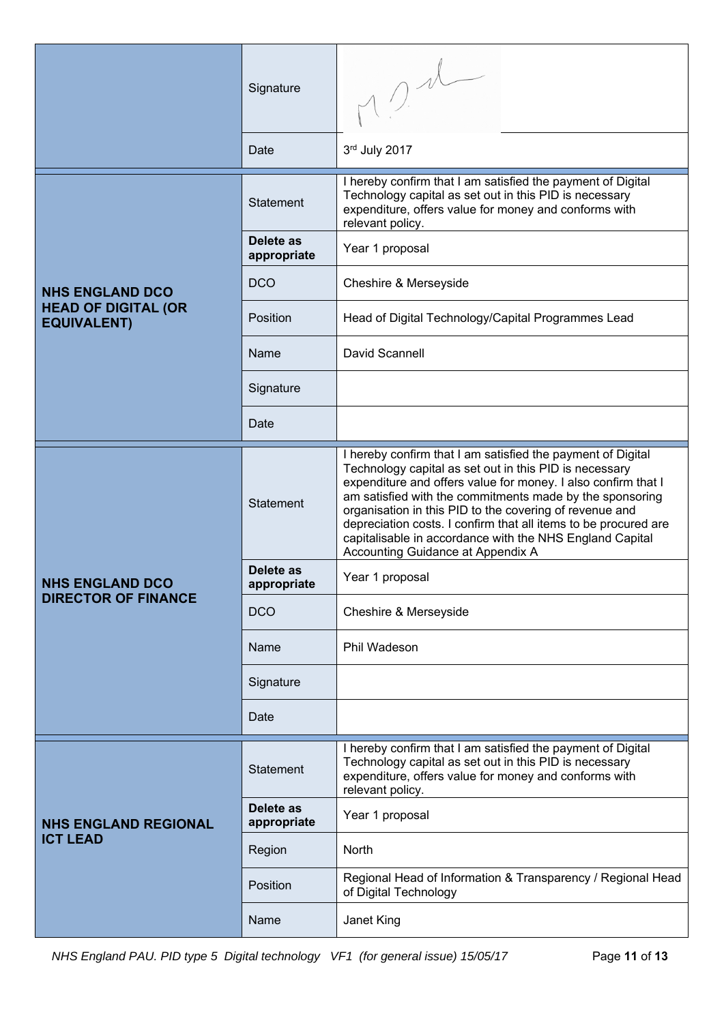|                                                  | Signature                |                                                                                                                                                                                                                                                                                                                                                                                                                                                                                   |
|--------------------------------------------------|--------------------------|-----------------------------------------------------------------------------------------------------------------------------------------------------------------------------------------------------------------------------------------------------------------------------------------------------------------------------------------------------------------------------------------------------------------------------------------------------------------------------------|
|                                                  | Date                     | 3rd July 2017                                                                                                                                                                                                                                                                                                                                                                                                                                                                     |
|                                                  | Statement                | I hereby confirm that I am satisfied the payment of Digital<br>Technology capital as set out in this PID is necessary<br>expenditure, offers value for money and conforms with<br>relevant policy.                                                                                                                                                                                                                                                                                |
|                                                  | Delete as<br>appropriate | Year 1 proposal                                                                                                                                                                                                                                                                                                                                                                                                                                                                   |
| <b>NHS ENGLAND DCO</b>                           | <b>DCO</b>               | Cheshire & Merseyside                                                                                                                                                                                                                                                                                                                                                                                                                                                             |
| <b>HEAD OF DIGITAL (OR</b><br><b>EQUIVALENT)</b> | Position                 | Head of Digital Technology/Capital Programmes Lead                                                                                                                                                                                                                                                                                                                                                                                                                                |
|                                                  | Name                     | David Scannell                                                                                                                                                                                                                                                                                                                                                                                                                                                                    |
|                                                  | Signature                |                                                                                                                                                                                                                                                                                                                                                                                                                                                                                   |
|                                                  | Date                     |                                                                                                                                                                                                                                                                                                                                                                                                                                                                                   |
|                                                  | Statement                | I hereby confirm that I am satisfied the payment of Digital<br>Technology capital as set out in this PID is necessary<br>expenditure and offers value for money. I also confirm that I<br>am satisfied with the commitments made by the sponsoring<br>organisation in this PID to the covering of revenue and<br>depreciation costs. I confirm that all items to be procured are<br>capitalisable in accordance with the NHS England Capital<br>Accounting Guidance at Appendix A |
| <b>NHS ENGLAND DCO</b>                           | Delete as<br>appropriate | Year 1 proposal                                                                                                                                                                                                                                                                                                                                                                                                                                                                   |
| <b>DIRECTOR OF FINANCE</b>                       | <b>DCO</b>               | Cheshire & Merseyside                                                                                                                                                                                                                                                                                                                                                                                                                                                             |
|                                                  | Name                     | Phil Wadeson                                                                                                                                                                                                                                                                                                                                                                                                                                                                      |
|                                                  | Signature                |                                                                                                                                                                                                                                                                                                                                                                                                                                                                                   |
|                                                  | Date                     |                                                                                                                                                                                                                                                                                                                                                                                                                                                                                   |
| <b>NHS ENGLAND REGIONAL</b>                      | Statement                | I hereby confirm that I am satisfied the payment of Digital<br>Technology capital as set out in this PID is necessary<br>expenditure, offers value for money and conforms with<br>relevant policy.                                                                                                                                                                                                                                                                                |
|                                                  | Delete as<br>appropriate | Year 1 proposal                                                                                                                                                                                                                                                                                                                                                                                                                                                                   |
| <b>ICT LEAD</b>                                  | Region                   | North                                                                                                                                                                                                                                                                                                                                                                                                                                                                             |
|                                                  | Position                 | Regional Head of Information & Transparency / Regional Head<br>of Digital Technology                                                                                                                                                                                                                                                                                                                                                                                              |
|                                                  | Name                     | Janet King                                                                                                                                                                                                                                                                                                                                                                                                                                                                        |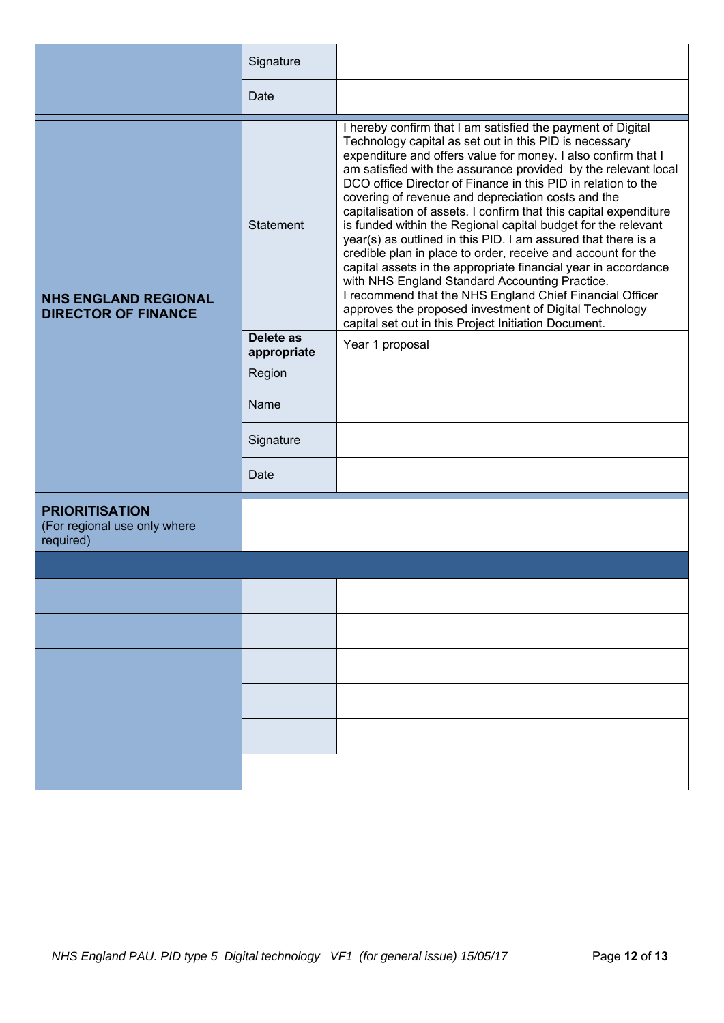|                                                                    | Signature                |                                                                                                                                                                                                                                                                                                                                                                                                                                                                                                                                                                                                                                                                                                                                                                                                                                                                                                                                                          |
|--------------------------------------------------------------------|--------------------------|----------------------------------------------------------------------------------------------------------------------------------------------------------------------------------------------------------------------------------------------------------------------------------------------------------------------------------------------------------------------------------------------------------------------------------------------------------------------------------------------------------------------------------------------------------------------------------------------------------------------------------------------------------------------------------------------------------------------------------------------------------------------------------------------------------------------------------------------------------------------------------------------------------------------------------------------------------|
|                                                                    | Date                     |                                                                                                                                                                                                                                                                                                                                                                                                                                                                                                                                                                                                                                                                                                                                                                                                                                                                                                                                                          |
| <b>NHS ENGLAND REGIONAL</b><br><b>DIRECTOR OF FINANCE</b>          | Statement                | I hereby confirm that I am satisfied the payment of Digital<br>Technology capital as set out in this PID is necessary<br>expenditure and offers value for money. I also confirm that I<br>am satisfied with the assurance provided by the relevant local<br>DCO office Director of Finance in this PID in relation to the<br>covering of revenue and depreciation costs and the<br>capitalisation of assets. I confirm that this capital expenditure<br>is funded within the Regional capital budget for the relevant<br>year(s) as outlined in this PID. I am assured that there is a<br>credible plan in place to order, receive and account for the<br>capital assets in the appropriate financial year in accordance<br>with NHS England Standard Accounting Practice.<br>I recommend that the NHS England Chief Financial Officer<br>approves the proposed investment of Digital Technology<br>capital set out in this Project Initiation Document. |
|                                                                    | Delete as<br>appropriate | Year 1 proposal                                                                                                                                                                                                                                                                                                                                                                                                                                                                                                                                                                                                                                                                                                                                                                                                                                                                                                                                          |
|                                                                    | Region                   |                                                                                                                                                                                                                                                                                                                                                                                                                                                                                                                                                                                                                                                                                                                                                                                                                                                                                                                                                          |
|                                                                    | Name                     |                                                                                                                                                                                                                                                                                                                                                                                                                                                                                                                                                                                                                                                                                                                                                                                                                                                                                                                                                          |
|                                                                    | Signature                |                                                                                                                                                                                                                                                                                                                                                                                                                                                                                                                                                                                                                                                                                                                                                                                                                                                                                                                                                          |
|                                                                    | Date                     |                                                                                                                                                                                                                                                                                                                                                                                                                                                                                                                                                                                                                                                                                                                                                                                                                                                                                                                                                          |
| <b>PRIORITISATION</b><br>(For regional use only where<br>required) |                          |                                                                                                                                                                                                                                                                                                                                                                                                                                                                                                                                                                                                                                                                                                                                                                                                                                                                                                                                                          |
|                                                                    |                          |                                                                                                                                                                                                                                                                                                                                                                                                                                                                                                                                                                                                                                                                                                                                                                                                                                                                                                                                                          |
|                                                                    |                          |                                                                                                                                                                                                                                                                                                                                                                                                                                                                                                                                                                                                                                                                                                                                                                                                                                                                                                                                                          |
|                                                                    |                          |                                                                                                                                                                                                                                                                                                                                                                                                                                                                                                                                                                                                                                                                                                                                                                                                                                                                                                                                                          |
|                                                                    |                          |                                                                                                                                                                                                                                                                                                                                                                                                                                                                                                                                                                                                                                                                                                                                                                                                                                                                                                                                                          |
|                                                                    |                          |                                                                                                                                                                                                                                                                                                                                                                                                                                                                                                                                                                                                                                                                                                                                                                                                                                                                                                                                                          |
|                                                                    |                          |                                                                                                                                                                                                                                                                                                                                                                                                                                                                                                                                                                                                                                                                                                                                                                                                                                                                                                                                                          |
|                                                                    |                          |                                                                                                                                                                                                                                                                                                                                                                                                                                                                                                                                                                                                                                                                                                                                                                                                                                                                                                                                                          |